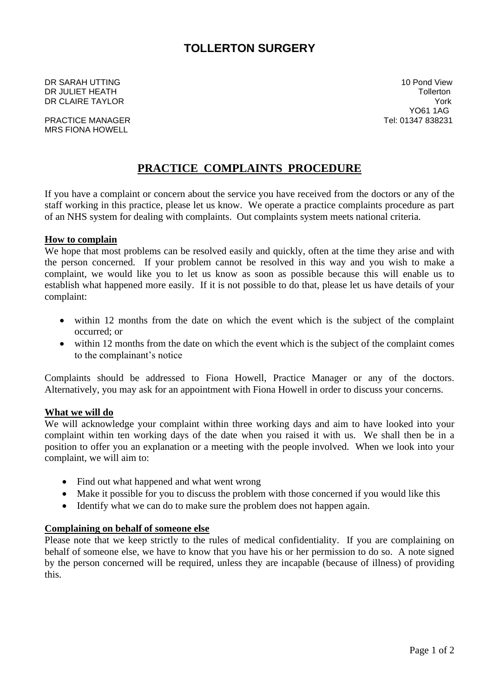# **TOLLERTON SURGERY**

DR SARAH UTTING 10 Pond View DR JULIET HEATH Tollerton **DR CLAIRE TAYLOR** YORK **YORK IN THE SERVICE OF A STATE OF A STATE OF A STATE OF A STATE OF A STATE OF A STATE OF A STATE OF A STATE OF A STATE OF A STATE OF A STATE OF A STATE OF A STATE OF A STATE OF A STATE OF A STATE O** 

PRACTICE MANAGER TEL: 01347 838231 MRS FIONA HOWELL

YO61 1AG

# **PRACTICE COMPLAINTS PROCEDURE**

If you have a complaint or concern about the service you have received from the doctors or any of the staff working in this practice, please let us know. We operate a practice complaints procedure as part of an NHS system for dealing with complaints. Out complaints system meets national criteria.

#### **How to complain**

We hope that most problems can be resolved easily and quickly, often at the time they arise and with the person concerned. If your problem cannot be resolved in this way and you wish to make a complaint, we would like you to let us know as soon as possible because this will enable us to establish what happened more easily. If it is not possible to do that, please let us have details of your complaint:

- within 12 months from the date on which the event which is the subject of the complaint occurred; or
- within 12 months from the date on which the event which is the subject of the complaint comes to the complainant's notice

Complaints should be addressed to Fiona Howell, Practice Manager or any of the doctors. Alternatively, you may ask for an appointment with Fiona Howell in order to discuss your concerns.

#### **What we will do**

We will acknowledge your complaint within three working days and aim to have looked into your complaint within ten working days of the date when you raised it with us. We shall then be in a position to offer you an explanation or a meeting with the people involved. When we look into your complaint, we will aim to:

- Find out what happened and what went wrong
- Make it possible for you to discuss the problem with those concerned if you would like this
- Identify what we can do to make sure the problem does not happen again.

## **Complaining on behalf of someone else**

Please note that we keep strictly to the rules of medical confidentiality. If you are complaining on behalf of someone else, we have to know that you have his or her permission to do so. A note signed by the person concerned will be required, unless they are incapable (because of illness) of providing this.